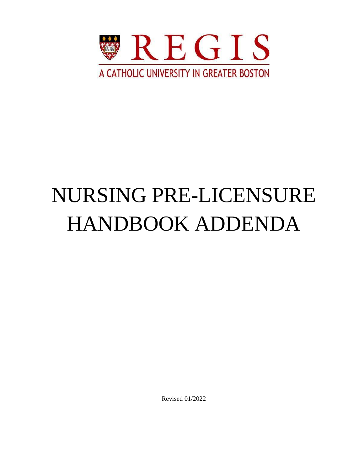

# NURSING PRE-LICENSURE HANDBOOK ADDENDA

Revised 01/2022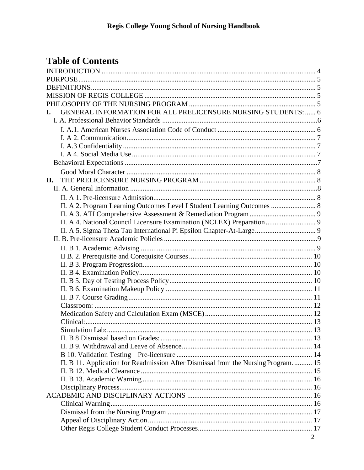# **Table of Contents**

| GENERAL INFORMATION FOR ALL PRELICENSURE NURSING STUDENTS:  6<br>L.                 |  |
|-------------------------------------------------------------------------------------|--|
|                                                                                     |  |
|                                                                                     |  |
|                                                                                     |  |
|                                                                                     |  |
|                                                                                     |  |
|                                                                                     |  |
|                                                                                     |  |
| П.                                                                                  |  |
|                                                                                     |  |
|                                                                                     |  |
| II. A 2. Program Learning Outcomes Level I Student Learning Outcomes  8             |  |
|                                                                                     |  |
|                                                                                     |  |
|                                                                                     |  |
|                                                                                     |  |
|                                                                                     |  |
|                                                                                     |  |
|                                                                                     |  |
|                                                                                     |  |
|                                                                                     |  |
|                                                                                     |  |
|                                                                                     |  |
|                                                                                     |  |
|                                                                                     |  |
|                                                                                     |  |
|                                                                                     |  |
|                                                                                     |  |
|                                                                                     |  |
|                                                                                     |  |
| II. B 11. Application for Readmission After Dismissal from the Nursing Program.  15 |  |
|                                                                                     |  |
|                                                                                     |  |
|                                                                                     |  |
|                                                                                     |  |
|                                                                                     |  |
|                                                                                     |  |
|                                                                                     |  |
|                                                                                     |  |
| 2                                                                                   |  |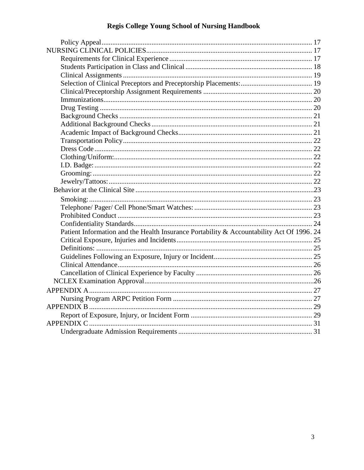| Patient Information and the Health Insurance Portability & Accountability Act Of 1996. 24 |  |
|-------------------------------------------------------------------------------------------|--|
|                                                                                           |  |
|                                                                                           |  |
|                                                                                           |  |
|                                                                                           |  |
|                                                                                           |  |
|                                                                                           |  |
|                                                                                           |  |
|                                                                                           |  |
|                                                                                           |  |
|                                                                                           |  |
|                                                                                           |  |
|                                                                                           |  |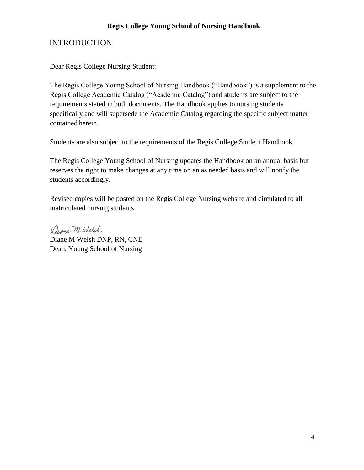# <span id="page-3-0"></span>INTRODUCTION

Dear Regis College Nursing Student:

The Regis College Young School of Nursing Handbook ("Handbook") is a supplement to the Regis College Academic Catalog ("Academic Catalog") and students are subject to the requirements stated in both documents. The Handbook applies to nursing students specifically and will supersede the Academic Catalog regarding the specific subject matter contained herein.

Students are also subject to the requirements of the Regis College Student Handbook.

The Regis College Young School of Nursing updates the Handbook on an annual basis but reserves the right to make changes at any time on an as needed basis and will notify the students accordingly.

Revised copies will be posted on the Regis College Nursing website and circulated to all matriculated nursing students.

Dione M. Welsh Diane M Welsh DNP, RN, CNE Dean, Young School of Nursing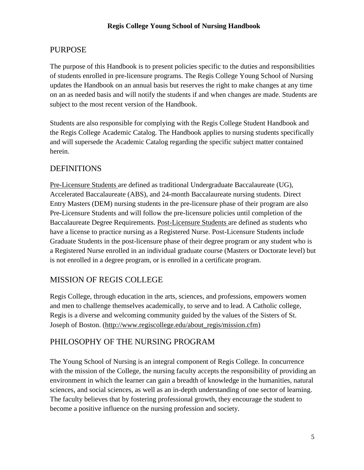# <span id="page-4-0"></span>PURPOSE

The purpose of this Handbook is to present policies specific to the duties and responsibilities of students enrolled in pre-licensure programs. The Regis College Young School of Nursing updates the Handbook on an annual basis but reserves the right to make changes at any time on an as needed basis and will notify the students if and when changes are made. Students are subject to the most recent version of the Handbook.

Students are also responsible for complying with the Regis College Student Handbook and the Regis College Academic Catalog. The Handbook applies to nursing students specifically and will supersede the Academic Catalog regarding the specific subject matter contained herein.

# <span id="page-4-1"></span>**DEFINITIONS**

Pre-Licensure Students are defined as traditional Undergraduate Baccalaureate (UG), Accelerated Baccalaureate (ABS), and 24-month Baccalaureate nursing students. Direct Entry Masters (DEM) nursing students in the pre-licensure phase of their program are also Pre-Licensure Students and will follow the pre-licensure policies until completion of the Baccalaureate Degree Requirements. Post-Licensure Students are defined as students who have a license to practice nursing as a Registered Nurse. Post-Licensure Students include Graduate Students in the post-licensure phase of their degree program or any student who is a Registered Nurse enrolled in an individual graduate course (Masters or Doctorate level) but is not enrolled in a degree program, or is enrolled in a certificate program.

# <span id="page-4-2"></span>MISSION OF REGIS COLLEGE

Regis College, through education in the arts, sciences, and professions, empowers women and men to challenge themselves academically, to serve and to lead. A Catholic college, Regis is a diverse and welcoming community guided by the values of the Sisters of St. Joseph of Boston. [\(http://www.regiscollege.edu/about\\_regis/mission.cfm\)](http://www.regiscollege.edu/about_regis/mission.cfm)

# <span id="page-4-3"></span>PHILOSOPHY OF THE NURSING PROGRAM

The Young School of Nursing is an integral component of Regis College. In concurrence with the mission of the College, the nursing faculty accepts the responsibility of providing an environment in which the learner can gain a breadth of knowledge in the humanities, natural sciences, and social sciences, as well as an in-depth understanding of one sector of learning. The faculty believes that by fostering professional growth, they encourage the student to become a positive influence on the nursing profession and society.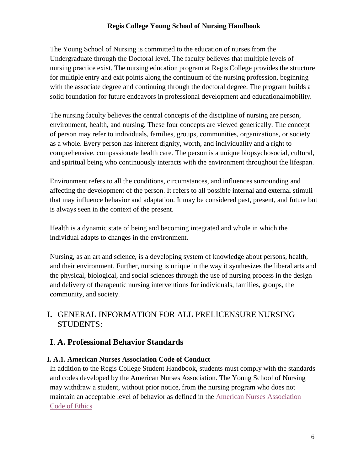The Young School of Nursing is committed to the education of nurses from the Undergraduate through the Doctoral level. The faculty believes that multiple levels of nursing practice exist. The nursing education program at Regis College provides the structure for multiple entry and exit points along the continuum of the nursing profession, beginning with the associate degree and continuing through the doctoral degree. The program builds a solid foundation for future endeavors in professional development and educationalmobility.

The nursing faculty believes the central concepts of the discipline of nursing are person, environment, health, and nursing. These four concepts are viewed generically. The concept of person may refer to individuals, families, groups, communities, organizations, or society as a whole. Every person has inherent dignity, worth, and individuality and a right to comprehensive, compassionate health care. The person is a unique biopsychosocial, cultural, and spiritual being who continuously interacts with the environment throughout the lifespan.

Environment refers to all the conditions, circumstances, and influences surrounding and affecting the development of the person. It refers to all possible internal and external stimuli that may influence behavior and adaptation. It may be considered past, present, and future but is always seen in the context of the present.

Health is a dynamic state of being and becoming integrated and whole in which the individual adapts to changes in the environment.

Nursing, as an art and science, is a developing system of knowledge about persons, health, and their environment. Further, nursing is unique in the way it synthesizes the liberal arts and the physical, biological, and social sciences through the use of nursing process in the design and delivery of therapeutic nursing interventions for individuals, families, groups, the community, and society.

# <span id="page-5-0"></span>**I.** GENERAL INFORMATION FOR ALL PRELICENSURE NURSING STUDENTS:

# <span id="page-5-1"></span>**I**. **A. Professional Behavior Standards**

# <span id="page-5-2"></span>**I. A.1. American Nurses Association Code of Conduct**

In addition to the Regis College Student Handbook, students must comply with the standards and codes developed by the American Nurses Association. The Young School of Nursing may withdraw a student, without prior notice, from the nursing program who does not maintain an acceptable level of behavior as defined in the [American Nurses Association](https://www.nursingworld.org/coe-view-only)  [Code of Ethics](https://www.nursingworld.org/coe-view-only)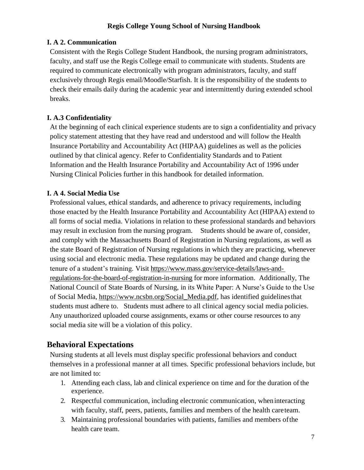## <span id="page-6-0"></span>**I. A 2. Communication**

Consistent with the Regis College Student Handbook, the nursing program administrators, faculty, and staff use the Regis College email to communicate with students. Students are required to communicate electronically with program administrators, faculty, and staff exclusively through Regis email/Moodle/Starfish. It is the responsibility of the students to check their emails daily during the academic year and intermittently during extended school breaks.

# <span id="page-6-1"></span>**I. A.3 Confidentiality**

At the beginning of each clinical experience students are to sign a confidentiality and privacy policy statement attesting that they have read and understood and will follow the Health Insurance Portability and Accountability Act (HIPAA) guidelines as well as the policies outlined by that clinical agency. Refer to Confidentiality Standards and to Patient Information and the Health Insurance Portability and Accountability Act of 1996 under Nursing Clinical Policies further in this handbook for detailed information.

# <span id="page-6-2"></span>**I. A 4. Social Media Use**

Professional values, ethical standards, and adherence to privacy requirements, including those enacted by the Health Insurance Portability and Accountability Act (HIPAA) extend to all forms of social media. Violations in relation to these professional standards and behaviors may result in exclusion from the nursing program. Students should be aware of, consider, and comply with the Massachusetts Board of Registration in Nursing regulations, as well as the state Board of Registration of Nursing regulations in which they are practicing, whenever using social and electronic media. These regulations may be updated and change during the tenure of a student's training. Visit [https://www.mass.gov/service-details/laws-and](https://www.mass.gov/service-details/laws-and-%20regulations-for-the-board-of-registration-in-nursing)[regulations-for-the-board-of-registration-in-nursing](https://www.mass.gov/service-details/laws-and-%20regulations-for-the-board-of-registration-in-nursing) for more information. Additionally, The National Council of State Boards of Nursing, in its White Paper: A Nurse's Guide to the Use of Social Media, [https://www.ncsbn.org/Social\\_Media.pdf,](https://www.ncsbn.org/Social_Media.pdf) has identified guidelinesthat students must adhere to. Students must adhere to all clinical agency social media policies. Any unauthorized uploaded course assignments, exams or other course resources to any social media site will be a violation of this policy.

# <span id="page-6-3"></span>**Behavioral Expectations**

Nursing students at all levels must display specific professional behaviors and conduct themselves in a professional manner at all times. Specific professional behaviors include, but are not limited to:

- 1. Attending each class, lab and clinical experience on time and for the duration ofthe experience.
- 2. Respectful communication, including electronic communication, wheninteracting with faculty, staff, peers, patients, families and members of the health careteam.
- 3. Maintaining professional boundaries with patients, families and members ofthe health care team.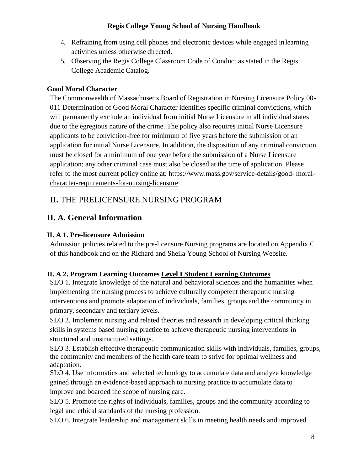- 4. Refraining from using cell phones and electronic devices while engaged in learning activities unless otherwise directed.
- 5. Observing the Regis College Classroom Code of Conduct as stated in the Regis College Academic Catalog.

# <span id="page-7-0"></span>**Good Moral Character**

The Commonwealth of Massachusetts Board of Registration in Nursing Licensure Policy 00- 011 Determination of Good Moral Character identifies specific criminal convictions, which will permanently exclude an individual from initial Nurse Licensure in all individual states due to the egregious nature of the crime. The policy also requires initial Nurse Licensure applicants to be conviction-free for minimum of five years before the submission of an application for initial Nurse Licensure. In addition, the disposition of any criminal conviction must be closed for a minimum of one year before the submission of a Nurse Licensure application; any other criminal case must also be closed at the time of application. Please refer to the most current policy online at: [https://www.mass.gov/service-details/good-](https://www.mass.gov/service-details/good-%20moral-character-requirements-for-nursing-licensure) moral[character-requirements-for-nursing-licensure](https://www.mass.gov/service-details/good-%20moral-character-requirements-for-nursing-licensure)

# <span id="page-7-1"></span>**II.** THE PRELICENSURE NURSING PROGRAM

# <span id="page-7-2"></span>**II. A. General Information**

# <span id="page-7-3"></span>**II. A 1. Pre-licensure Admission**

Admission policies related to the pre-licensure Nursing programs are located on Appendix C of this handbook and on the Richard and Sheila Young School of Nursing Website.

# <span id="page-7-4"></span>**II. A 2. Program Learning Outcomes Level I Student Learning Outcomes**

SLO 1. Integrate knowledge of the natural and behavioral sciences and the humanities when implementing the nursing process to achieve culturally competent therapeutic nursing interventions and promote adaptation of individuals, families, groups and the community in primary, secondary and tertiary levels.

SLO 2. Implement nursing and related theories and research in developing critical thinking skills in systems based nursing practice to achieve therapeutic nursing interventions in structured and unstructured settings.

SLO 3. Establish effective therapeutic communication skills with individuals, families, groups, the community and members of the health care team to strive for optimal wellness and adaptation.

SLO 4. Use informatics and selected technology to accumulate data and analyze knowledge gained through an evidence-based approach to nursing practice to accumulate data to improve and boarded the scope of nursing care.

SLO 5. Promote the rights of individuals, families, groups and the community according to legal and ethical standards of the nursing profession.

SLO 6. Integrate leadership and management skills in meeting health needs and improved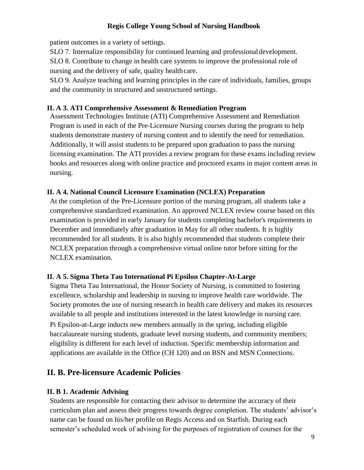patient outcomes in a variety of settings.

SLO 7. Internalize responsibility for continued learning and professionaldevelopment.

SLO 8. Contribute to change in health care systems to improve the professional role of nursing and the delivery of safe, quality healthcare.

SLO 9. Analyze teaching and learning principles in the care of individuals, families, groups and the community in structured and unstructured settings.

# <span id="page-8-0"></span>**II. A 3. ATI Comprehensive Assessment & Remediation Program**

Assessment Technologies Institute (ATI) Comprehensive Assessment and Remediation Program is used in each of the Pre-Licensure Nursing courses during the program to help students demonstrate mastery of nursing content and to identify the need for remediation. Additionally, it will assist students to be prepared upon graduation to pass the nursing licensing examination. The ATI provides a review program for these exams including review books and resources along with online practice and proctored exams in major content areas in nursing.

# <span id="page-8-1"></span>**II. A 4. National Council Licensure Examination (NCLEX) Preparation**

At the completion of the Pre-Licensure portion of the nursing program, all students take a comprehensive standardized examination. An approved NCLEX review course based on this examination is provided in early January for students completing bachelor's requirements in December and immediately after graduation in May for all other students. It is highly recommended for all students. It is also highly recommended that students complete their NCLEX preparation through a comprehensive virtual online tutor before sitting for the NCLEX examination.

# <span id="page-8-2"></span>**II. A 5. Sigma Theta Tau International Pi Epsilon Chapter-At-Large**

Sigma Theta Tau International, the Honor Society of Nursing, is committed to fostering excellence, scholarship and leadership in nursing to improve health care worldwide. The Society promotes the use of nursing research in health care delivery and makes its resources available to all people and institutions interested in the latest knowledge in nursing care. Pi Epsilon-at-Large inducts new members annually in the spring, including eligible baccalaureate nursing students, graduate level nursing students, and community members; eligibility is different for each level of induction. Specific membership information and applications are available in the Office (CH 120) and on BSN and MSN Connections.

# <span id="page-8-3"></span>**II. B. Pre-licensure Academic Policies**

# <span id="page-8-4"></span>**II. B 1. Academic Advising**

Students are responsible for contacting their advisor to determine the accuracy of their curriculum plan and assess their progress towards degree completion. The students' advisor's name can be found on his/her profile on Regis Access and on Starfish. During each semester's scheduled week of advising for the purposes of registration of courses for the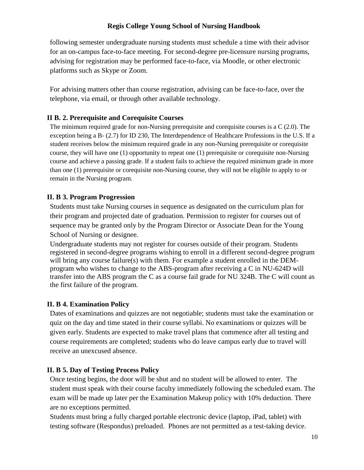following semester undergraduate nursing students must schedule a time with their advisor for an on-campus face-to-face meeting. For second-degree pre-licensure nursing programs, advising for registration may be performed face-to-face, via Moodle, or other electronic platforms such as Skype or Zoom.

For advising matters other than course registration, advising can be face-to-face, over the telephone, via email, or through other available technology.

# <span id="page-9-0"></span>**II B. 2. Prerequisite and Corequisite Courses**

The minimum required grade for non-Nursing prerequisite and corequisite courses is a C (2.0). The exception being a B- (2.7) for ID 230, The Interdependence of Healthcare Professions in the U.S. If a student receives below the minimum required grade in any non-Nursing prerequisite or corequisite course, they will have one (1) opportunity to repeat one (1) prerequisite or corequisite non-Nursing course and achieve a passing grade. If a student fails to achieve the required minimum grade in more than one (1) prerequisite or corequisite non-Nursing course, they will not be eligible to apply to or remain in the Nursing program.

#### <span id="page-9-1"></span>**II. B 3. Program Progression**

Students must take Nursing courses in sequence as designated on the curriculum plan for their program and projected date of graduation. Permission to register for courses out of sequence may be granted only by the Program Director or Associate Dean for the Young School of Nursing or designee.

Undergraduate students may not register for courses outside of their program. Students registered in second-degree programs wishing to enroll in a different second-degree program will bring any course failure(s) with them. For example a student enrolled in the DEMprogram who wishes to change to the ABS-program after receiving a C in NU-624D will transfer into the ABS program the C as a course fail grade for NU 324B. The C will count as the first failure of the program.

# <span id="page-9-2"></span>**II. B 4. Examination Policy**

Dates of examinations and quizzes are not negotiable; students must take the examination or quiz on the day and time stated in their course syllabi. No examinations or quizzes will be given early. Students are expected to make travel plans that commence after all testing and course requirements are completed; students who do leave campus early due to travel will receive an unexcused absence.

# <span id="page-9-3"></span>**II. B 5. Day of Testing Process Policy**

Once testing begins, the door will be shut and no student will be allowed to enter. The student must speak with their course faculty immediately following the scheduled exam. The exam will be made up later per the Examination Makeup policy with 10% deduction. There are no exceptions permitted.

Students must bring a fully charged portable electronic device (laptop, iPad, tablet) with testing software (Respondus) preloaded. Phones are not permitted as a test-taking device.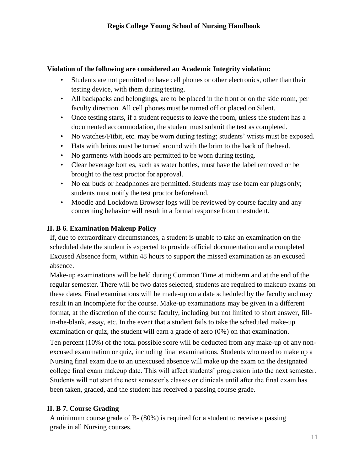## **Violation of the following are considered an Academic Integrity violation:**

- Students are not permitted to have cell phones or other electronics, other than their testing device, with them during testing.
- All backpacks and belongings, are to be placed in the front or on the side room, per faculty direction. All cell phones must be turned off or placed on Silent.
- Once testing starts, if a student requests to leave the room, unless the student has a documented accommodation, the student must submit the test as completed.
- No watches/Fitbit, etc. may be worn during testing; students' wrists must be exposed.
- Hats with brims must be turned around with the brim to the back of the head.
- No garments with hoods are permitted to be worn during testing.
- Clear beverage bottles, such as water bottles, must have the label removed or be brought to the test proctor for approval.
- No ear buds or headphones are permitted. Students may use foam ear plugs only; students must notify the test proctor beforehand.
- Moodle and Lockdown Browser logs will be reviewed by course faculty and any concerning behavior will result in a formal response from the student.

# <span id="page-10-0"></span>**II. B 6. Examination Makeup Policy**

If, due to extraordinary circumstances, a student is unable to take an examination on the scheduled date the student is expected to provide official documentation and a completed Excused Absence form, within 48 hours to support the missed examination as an excused absence.

Make-up examinations will be held during Common Time at midterm and at the end of the regular semester. There will be two dates selected, students are required to makeup exams on these dates. Final examinations will be made-up on a date scheduled by the faculty and may result in an Incomplete for the course. Make-up examinations may be given in a different format, at the discretion of the course faculty, including but not limited to short answer, fillin-the-blank, essay, etc. In the event that a student fails to take the scheduled make-up examination or quiz, the student will earn a grade of zero (0%) on that examination.

Ten percent (10%) of the total possible score will be deducted from any make-up of any nonexcused examination or quiz, including final examinations. Students who need to make up a Nursing final exam due to an unexcused absence will make up the exam on the designated college final exam makeup date. This will affect students' progression into the next semester. Students will not start the next semester's classes or clinicals until after the final exam has been taken, graded, and the student has received a passing course grade.

# <span id="page-10-1"></span>**II. B 7. Course Grading**

A minimum course grade of B- (80%) is required for a student to receive a passing grade in all Nursing courses.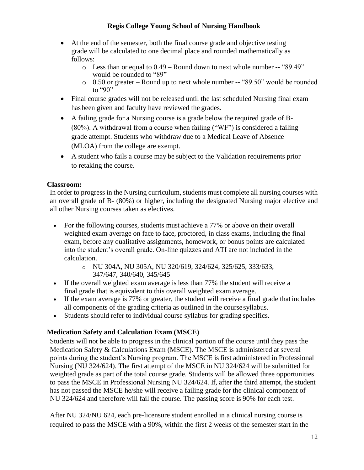- At the end of the semester, both the final course grade and objective testing grade will be calculated to one decimal place and rounded mathematically as follows:
	- o Less than or equal to 0.49 Round down to next whole number -- "89.49" would be rounded to "89"
	- o 0.50 or greater Round up to next whole number -- "89.50" would be rounded to "90"
- Final course grades will not be released until the last scheduled Nursing final exam hasbeen given and faculty have reviewed the grades.
- A failing grade for a Nursing course is a grade below the required grade of B- (80%). A withdrawal from a course when failing ("WF") is considered a failing grade attempt. Students who withdraw due to a Medical Leave of Absence (MLOA) from the college are exempt.
- A student who fails a course may be subject to the Validation requirements prior to retaking the course.

# <span id="page-11-0"></span>**Classroom:**

In order to progress in the Nursing curriculum, students must complete all nursing courses with an overall grade of B- (80%) or higher, including the designated Nursing major elective and all other Nursing courses taken as electives.

- For the following courses, students must achieve a 77% or above on their overall weighted exam average on face to face, proctored, in class exams, including the final exam, before any qualitative assignments, homework, or bonus points are calculated into the student's overall grade. On-line quizzes and ATI are not included in the calculation.
	- o NU 304A, NU 305A, NU 320/619, 324/624, 325/625, 333/633, 347/647, 340/640, 345/645
- If the overall weighted exam average is less than 77% the student will receive a final grade that is equivalent to this overall weighted exam average.
- If the exam average is 77% or greater, the student will receive a final grade that includes all components of the grading criteria as outlined in the course syllabus.
- Students should refer to individual course syllabus for grading specifics.

# <span id="page-11-1"></span>**Medication Safety and Calculation Exam (MSCE)**

Students will not be able to progress in the clinical portion of the course until they pass the Medication Safety & Calculations Exam (MSCE). The MSCE is administered at several points during the student's Nursing program. The MSCE is first administered in Professional Nursing (NU 324/624). The first attempt of the MSCE in NU 324/624 will be submitted for weighted grade as part of the total course grade. Students will be allowed three opportunities to pass the MSCE in Professional Nursing NU 324/624. If, after the third attempt, the student has not passed the MSCE he/she will receive a failing grade for the clinical component of NU 324/624 and therefore will fail the course. The passing score is 90% for each test.

After NU 324/NU 624, each pre-licensure student enrolled in a clinical nursing course is required to pass the MSCE with a 90%, within the first 2 weeks of the semester start in the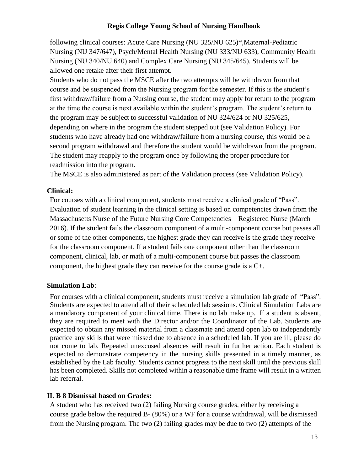following clinical courses: Acute Care Nursing (NU 325/NU 625)\*,Maternal-Pediatric Nursing (NU 347/647), Psych/Mental Health Nursing (NU 333/NU 633), Community Health Nursing (NU 340/NU 640) and Complex Care Nursing (NU 345/645). Students will be allowed one retake after their first attempt.

Students who do not pass the MSCE after the two attempts will be withdrawn from that course and be suspended from the Nursing program for the semester. If this is the student's first withdraw/failure from a Nursing course, the student may apply for return to the program at the time the course is next available within the student's program. The student's return to the program may be subject to successful validation of NU 324/624 or NU 325/625, depending on where in the program the student stepped out (see Validation Policy). For students who have already had one withdraw/failure from a nursing course, this would be a second program withdrawal and therefore the student would be withdrawn from the program. The student may reapply to the program once by following the proper procedure for readmission into the program.

The MSCE is also administered as part of the Validation process (see Validation Policy).

#### <span id="page-12-0"></span>**Clinical:**

For courses with a clinical component, students must receive a clinical grade of "Pass". Evaluation of student learning in the clinical setting is based on competencies drawn from the Massachusetts Nurse of the Future Nursing Core Competencies – Registered Nurse (March 2016). If the student fails the classroom component of a multi-component course but passes all or some of the other components, the highest grade they can receive is the grade they receive for the classroom component. If a student fails one component other than the classroom component, clinical, lab, or math of a multi-component course but passes the classroom component, the highest grade they can receive for the course grade is a C+.

#### <span id="page-12-1"></span>**Simulation Lab**:

For courses with a clinical component, students must receive a simulation lab grade of "Pass". Students are expected to attend all of their scheduled lab sessions. Clinical Simulation Labs are a mandatory component of your clinical time. There is no lab make up. If a student is absent, they are required to meet with the Director and/or the Coordinator of the Lab. Students are expected to obtain any missed material from a classmate and attend open lab to independently practice any skills that were missed due to absence in a scheduled lab. If you are ill, please do not come to lab. Repeated unexcused absences will result in further action. Each student is expected to demonstrate competency in the nursing skills presented in a timely manner, as established by the Lab faculty. Students cannot progress to the next skill until the previous skill has been completed. Skills not completed within a reasonable time frame will result in a written lab referral.

#### <span id="page-12-2"></span>**II. B 8 Dismissal based on Grades:**

A student who has received two (2) failing Nursing course grades, either by receiving a course grade below the required B- (80%) or a WF for a course withdrawal, will be dismissed from the Nursing program. The two (2) failing grades may be due to two (2) attempts of the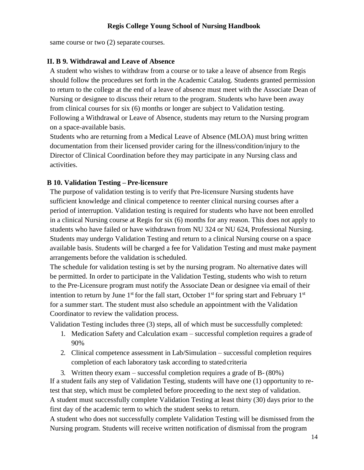same course or two  $(2)$  separate courses.

#### <span id="page-13-0"></span>**II. B 9. Withdrawal and Leave of Absence**

A student who wishes to withdraw from a course or to take a leave of absence from Regis should follow the procedures set forth in the Academic Catalog. Students granted permission to return to the college at the end of a leave of absence must meet with the Associate Dean of Nursing or designee to discuss their return to the program. Students who have been away from clinical courses for six (6) months or longer are subject to Validation testing. Following a Withdrawal or Leave of Absence, students may return to the Nursing program on a space-available basis.

Students who are returning from a Medical Leave of Absence (MLOA) must bring written documentation from their licensed provider caring for the illness/condition/injury to the Director of Clinical Coordination before they may participate in any Nursing class and activities.

#### <span id="page-13-1"></span>**B 10. Validation Testing – Pre-licensure**

The purpose of validation testing is to verify that Pre-licensure Nursing students have sufficient knowledge and clinical competence to reenter clinical nursing courses after a period of interruption. Validation testing is required for students who have not been enrolled in a clinical Nursing course at Regis for six (6) months for any reason. This does not apply to students who have failed or have withdrawn from NU 324 or NU 624, Professional Nursing. Students may undergo Validation Testing and return to a clinical Nursing course on a space available basis. Students will be charged a fee for Validation Testing and must make payment arrangements before the validation isscheduled.

The schedule for validation testing is set by the nursing program. No alternative dates will be permitted. In order to participate in the Validation Testing, students who wish to return to the Pre-Licensure program must notify the Associate Dean or designee via email of their intention to return by June  $1<sup>st</sup>$  for the fall start, October  $1<sup>st</sup>$  for spring start and February  $1<sup>st</sup>$ for a summer start. The student must also schedule an appointment with the Validation Coordinator to review the validation process.

Validation Testing includes three (3) steps, all of which must be successfully completed:

- 1. Medication Safety and Calculation exam successful completion requires a grade of 90%
- 2. Clinical competence assessment in Lab/Simulation successful completion requires completion of each laboratory task according to stated criteria

3. Written theory exam – successful completion requires a grade of B- (80%) If a student fails any step of Validation Testing, students will have one (1) opportunity to retest that step, which must be completed before proceeding to the next step of validation. A student must successfully complete Validation Testing at least thirty (30) days prior to the first day of the academic term to which the student seeks to return.

A student who does not successfully complete Validation Testing will be dismissed from the Nursing program. Students will receive written notification of dismissal from the program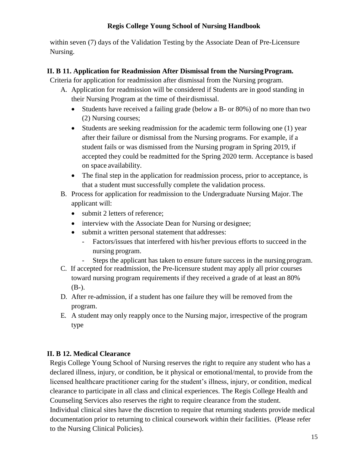within seven (7) days of the Validation Testing by the Associate Dean of Pre-Licensure Nursing.

# <span id="page-14-0"></span>**II. B 11. Application for Readmission After Dismissal from the NursingProgram.**

Criteria for application for readmission after dismissal from the Nursing program.

- A. Application for readmission will be considered if Students are in good standing in their Nursing Program at the time of theirdismissal.
	- Students have received a failing grade (below a B- or 80%) of no more than two (2) Nursing courses;
	- Students are seeking readmission for the academic term following one (1) year after their failure or dismissal from the Nursing programs. For example, if a student fails or was dismissed from the Nursing program in Spring 2019, if accepted they could be readmitted for the Spring 2020 term. Acceptance is based on space availability.
	- The final step in the application for readmission process, prior to acceptance, is that a student must successfully complete the validation process.
- B. Process for application for readmission to the Undergraduate Nursing Major.The applicant will:
	- submit 2 letters of reference:
	- interview with the Associate Dean for Nursing or designee;
	- submit a written personal statement that addresses:
		- Factors/issues that interfered with his/her previous efforts to succeed in the nursing program.
		- Steps the applicant has taken to ensure future success in the nursing program.
- C. If accepted for readmission, the Pre-licensure student may apply all prior courses toward nursing program requirements if they received a grade of at least an 80% (B-).
- D. After re-admission, if a student has one failure they will be removed from the program.
- E. A student may only reapply once to the Nursing major, irrespective of the program type

# <span id="page-14-1"></span>**II. B 12. Medical Clearance**

Regis College Young School of Nursing reserves the right to require any student who has a declared illness, injury, or condition, be it physical or emotional/mental, to provide from the licensed healthcare practitioner caring for the student's illness, injury, or condition, medical clearance to participate in all class and clinical experiences. The Regis College Health and Counseling Services also reserves the right to require clearance from the student. Individual clinical sites have the discretion to require that returning students provide medical documentation prior to returning to clinical coursework within their facilities. (Please refer to the Nursing Clinical Policies).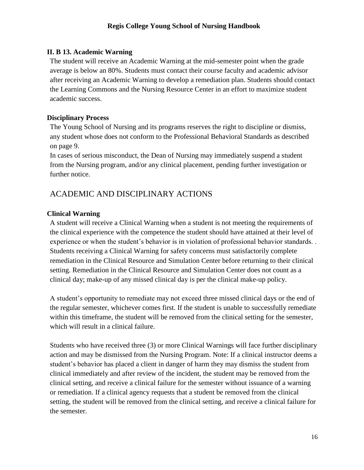# <span id="page-15-0"></span>**II. B 13. Academic Warning**

The student will receive an Academic Warning at the mid-semester point when the grade average is below an 80%. Students must contact their course faculty and academic advisor after receiving an Academic Warning to develop a remediation plan. Students should contact the Learning Commons and the Nursing Resource Center in an effort to maximize student academic success.

#### <span id="page-15-1"></span>**Disciplinary Process**

The Young School of Nursing and its programs reserves the right to discipline or dismiss, any student whose does not conform to the Professional Behavioral Standards as described on page 9.

In cases of serious misconduct, the Dean of Nursing may immediately suspend a student from the Nursing program, and/or any clinical placement, pending further investigation or further notice.

# <span id="page-15-2"></span>ACADEMIC AND DISCIPLINARY ACTIONS

# <span id="page-15-3"></span>**Clinical Warning**

A student will receive a Clinical Warning when a student is not meeting the requirements of the clinical experience with the competence the student should have attained at their level of experience or when the student's behavior is in violation of professional behavior standards. . Students receiving a Clinical Warning for safety concerns must satisfactorily complete remediation in the Clinical Resource and Simulation Center before returning to their clinical setting. Remediation in the Clinical Resource and Simulation Center does not count as a clinical day; make-up of any missed clinical day is per the clinical make-up policy.

A student's opportunity to remediate may not exceed three missed clinical days or the end of the regular semester, whichever comes first. If the student is unable to successfully remediate within this timeframe, the student will be removed from the clinical setting for the semester, which will result in a clinical failure.

Students who have received three (3) or more Clinical Warnings will face further disciplinary action and may be dismissed from the Nursing Program. Note: If a clinical instructor deems a student's behavior has placed a client in danger of harm they may dismiss the student from clinical immediately and after review of the incident, the student may be removed from the clinical setting, and receive a clinical failure for the semester without issuance of a warning or remediation. If a clinical agency requests that a student be removed from the clinical setting, the student will be removed from the clinical setting, and receive a clinical failure for the semester.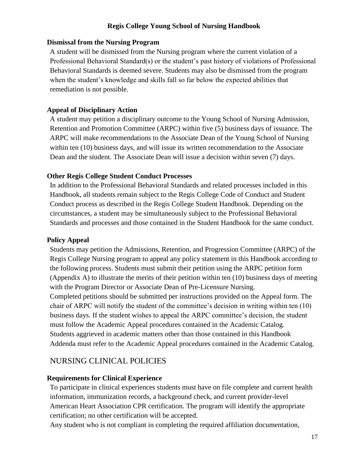#### <span id="page-16-0"></span>**Dismissal from the Nursing Program**

A student will be dismissed from the Nursing program where the current violation of a Professional Behavioral Standard(s) or the student's past history of violations of Professional Behavioral Standards is deemed severe. Students may also be dismissed from the program when the student's knowledge and skills fall so far below the expected abilities that remediation is not possible.

#### <span id="page-16-1"></span>**Appeal of Disciplinary Action**

A student may petition a disciplinary outcome to the Young School of Nursing Admission, Retention and Promotion Committee (ARPC) within five (5) business days of issuance. The ARPC will make recommendations to the Associate Dean of the Young School of Nursing within ten (10) business days, and will issue its written recommendation to the Associate Dean and the student. The Associate Dean will issue a decision within seven (7) days.

#### <span id="page-16-2"></span>**Other Regis College Student Conduct Processes**

In addition to the Professional Behavioral Standards and related processes included in this Handbook, all students remain subject to the Regis College Code of Conduct and Student Conduct process as described in the Regis College Student Handbook. Depending on the circumstances, a student may be simultaneously subject to the Professional Behavioral Standards and processes and those contained in the Student Handbook for the same conduct.

#### <span id="page-16-3"></span>**Policy Appeal**

Students may petition the Admissions, Retention, and Progression Committee (ARPC) of the Regis College Nursing program to appeal any policy statement in this Handbook according to the following process. Students must submit their petition using the ARPC petition form (Appendix A) to illustrate the merits of their petition within ten (10) business days of meeting with the Program Director or Associate Dean of Pre-Licensure Nursing. Completed petitions should be submitted per instructions provided on the Appeal form. The chair of ARPC will notify the student of the committee's decision in writing within ten (10) business days. If the student wishes to appeal the ARPC committee's decision, the student must follow the Academic Appeal procedures contained in the Academic Catalog. Students aggrieved in academic matters other than those contained in this Handbook Addenda must refer to the Academic Appeal procedures contained in the Academic Catalog.

# <span id="page-16-4"></span>NURSING CLINICAL POLICIES

#### <span id="page-16-5"></span>**Requirements for Clinical Experience**

To participate in clinical experiences students must have on file complete and current health information, immunization records, a background check, and current provider-level American Heart Association CPR certification. The program will identify the appropriate certification; no other certification will be accepted.

Any student who is not compliant in completing the required affiliation documentation,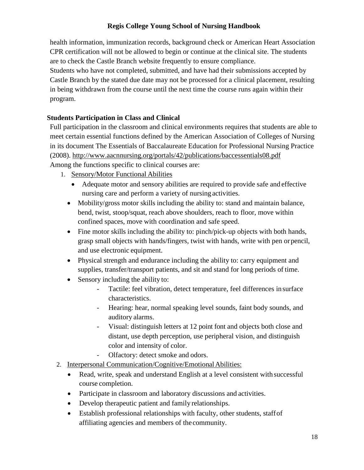health information, immunization records, background check or American Heart Association CPR certification will not be allowed to begin or continue at the clinical site. The students are to check the Castle Branch website frequently to ensure compliance.

Students who have not completed, submitted, and have had their submissions accepted by Castle Branch by the stated due date may not be processed for a clinical placement, resulting in being withdrawn from the course until the next time the course runs again within their program.

# <span id="page-17-0"></span>**Students Participation in Class and Clinical**

Full participation in the classroom and clinical environments requires that students are able to meet certain essential functions defined by the American Association of Colleges of Nursing in its document The Essentials of Baccalaureate Education for Professional Nursing Practice (2008).<http://www.aacnnursing.org/portals/42/publications/baccessentials08.pdf> Among the functions specific to clinical courses are:

1. Sensory/Motor Functional Abilities

- Adequate motor and sensory abilities are required to provide safe and effective nursing care and perform a variety of nursing activities.
- Mobility/gross motor skills including the ability to: stand and maintain balance, bend, twist, stoop/squat, reach above shoulders, reach to floor, move within confined spaces, move with coordination and safe speed.
- Fine motor skills including the ability to: pinch/pick-up objects with both hands, grasp small objects with hands/fingers, twist with hands, write with pen orpencil, and use electronic equipment.
- Physical strength and endurance including the ability to: carry equipment and supplies, transfer/transport patients, and sit and stand for long periods of time.
- Sensory including the ability to:
	- Tactile: feel vibration, detect temperature, feel differences in surface characteristics.
	- Hearing: hear, normal speaking level sounds, faint body sounds, and auditory alarms.
	- Visual: distinguish letters at 12 point font and objects both close and distant, use depth perception, use peripheral vision, and distinguish color and intensity of color.
	- Olfactory: detect smoke and odors.
- 2. Interpersonal Communication/Cognitive/Emotional Abilities:
	- Read, write, speak and understand English at a level consistent with successful course completion.
	- Participate in classroom and laboratory discussions and activities.
	- Develop therapeutic patient and family relationships.
	- Establish professional relationships with faculty, other students, staffof affiliating agencies and members of the community.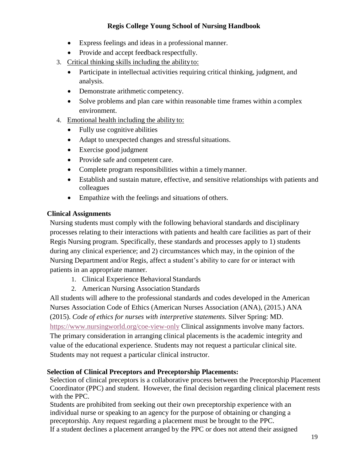- Express feelings and ideas in a professional manner.
- Provide and accept feedback respectfully.
- 3. Critical thinking skills including the abilityto:
	- Participate in intellectual activities requiring critical thinking, judgment, and analysis.
	- Demonstrate arithmetic competency.
	- Solve problems and plan care within reasonable time frames within a complex environment.
- 4. Emotional health including the ability to:
	- Fully use cognitive abilities
	- Adapt to unexpected changes and stressful situations.
	- Exercise good judgment
	- Provide safe and competent care.
	- Complete program responsibilities within a timely manner.
	- Establish and sustain mature, effective, and sensitive relationships with patients and colleagues
	- Empathize with the feelings and situations of others.

# <span id="page-18-0"></span>**Clinical Assignments**

Nursing students must comply with the following behavioral standards and disciplinary processes relating to their interactions with patients and health care facilities as part of their Regis Nursing program. Specifically, these standards and processes apply to 1) students during any clinical experience; and 2) circumstances which may, in the opinion of the Nursing Department and/or Regis, affect a student's ability to care for or interact with patients in an appropriate manner.

- 1. Clinical Experience Behavioral Standards
- 2. American Nursing Association Standards

All students will adhere to the professional standards and codes developed in the American Nurses Association Code of Ethics (American Nurses Association (ANA), (2015.) ANA (2015). *Code of ethics for nurses with interpretive statements.* Silver Spring: MD. <https://www.nursingworld.org/coe-view-only> Clinical assignments involve many factors. The primary consideration in arranging clinical placements is the academic integrity and value of the educational experience. Students may not request a particular clinical site. Students may not request a particular clinical instructor.

# <span id="page-18-1"></span>**Selection of Clinical Preceptors and Preceptorship Placements:**

Selection of clinical preceptors is a collaborative process between the Preceptorship Placement Coordinator (PPC) and student. However, the final decision regarding clinical placement rests with the PPC.

Students are prohibited from seeking out their own preceptorship experience with an individual nurse or speaking to an agency for the purpose of obtaining or changing a preceptorship. Any request regarding a placement must be brought to the PPC. If a student declines a placement arranged by the PPC or does not attend their assigned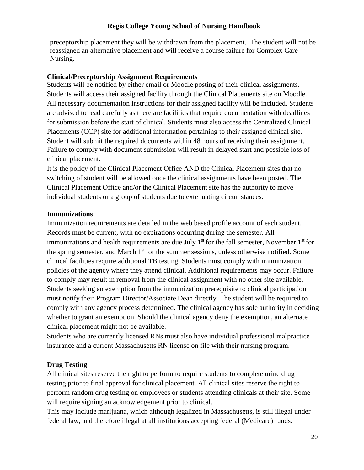preceptorship placement they will be withdrawn from the placement. The student will not be reassigned an alternative placement and will receive a course failure for Complex Care Nursing.

## <span id="page-19-0"></span>**Clinical/Preceptorship Assignment Requirements**

Students will be notified by either email or Moodle posting of their clinical assignments. Students will access their assigned facility through the Clinical Placements site on Moodle. All necessary documentation instructions for their assigned facility will be included. Students are advised to read carefully as there are facilities that require documentation with deadlines for submission before the start of clinical. Students must also access the Centralized Clinical Placements (CCP) site for additional information pertaining to their assigned clinical site. Student will submit the required documents within 48 hours of receiving their assignment. Failure to comply with document submission will result in delayed start and possible loss of clinical placement.

It is the policy of the Clinical Placement Office AND the Clinical Placement sites that no switching of student will be allowed once the clinical assignments have been posted. The Clinical Placement Office and/or the Clinical Placement site has the authority to move individual students or a group of students due to extenuating circumstances.

#### <span id="page-19-1"></span>**Immunizations**

Immunization requirements are detailed in the web based profile account of each student. Records must be current, with no expirations occurring during the semester. All immunizations and health requirements are due July  $1<sup>st</sup>$  for the fall semester, November  $1<sup>st</sup>$  for the spring semester, and March 1<sup>st</sup> for the summer sessions, unless otherwise notified. Some clinical facilities require additional TB testing. Students must comply with immunization policies of the agency where they attend clinical. Additional requirements may occur. Failure to comply may result in removal from the clinical assignment with no other site available. Students seeking an exemption from the immunization prerequisite to clinical participation must notify their Program Director/Associate Dean directly. The student will be required to comply with any agency process determined. The clinical agency has sole authority in deciding whether to grant an exemption. Should the clinical agency deny the exemption, an alternate clinical placement might not be available.

Students who are currently licensed RNs must also have individual professional malpractice insurance and a current Massachusetts RN license on file with their nursing program.

# <span id="page-19-2"></span>**Drug Testing**

All clinical sites reserve the right to perform to require students to complete urine drug testing prior to final approval for clinical placement. All clinical sites reserve the right to perform random drug testing on employees or students attending clinicals at their site. Some will require signing an acknowledgement prior to clinical.

This may include marijuana, which although legalized in Massachusetts, is still illegal under federal law, and therefore illegal at all institutions accepting federal (Medicare) funds.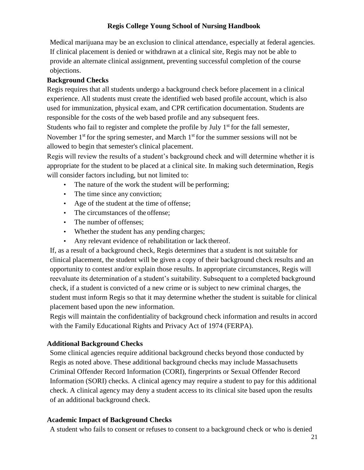Medical marijuana may be an exclusion to clinical attendance, especially at federal agencies. If clinical placement is denied or withdrawn at a clinical site, Regis may not be able to provide an alternate clinical assignment, preventing successful completion of the course objections.

# <span id="page-20-0"></span>**Background Checks**

Regis requires that all students undergo a background check before placement in a clinical experience. All students must create the identified web based profile account, which is also used for immunization, physical exam, and CPR certification documentation. Students are responsible for the costs of the web based profile and any subsequent fees.

Students who fail to register and complete the profile by July  $1<sup>st</sup>$  for the fall semester, November  $1<sup>st</sup>$  for the spring semester, and March  $1<sup>st</sup>$  for the summer sessions will not be allowed to begin that semester's clinical placement.

Regis will review the results of a student's background check and will determine whether it is appropriate for the student to be placed at a clinical site. In making such determination, Regis will consider factors including, but not limited to:

- The nature of the work the student will be performing;
- The time since any conviction;
- Age of the student at the time of offense;
- The circumstances of the offense;
- The number of offenses;
- Whether the student has any pending charges;
- Any relevant evidence of rehabilitation or lack thereof.

If, as a result of a background check, Regis determines that a student is not suitable for clinical placement, the student will be given a copy of their background check results and an opportunity to contest and/or explain those results. In appropriate circumstances, Regis will reevaluate its determination of a student's suitability. Subsequent to a completed background check, if a student is convicted of a new crime or is subject to new criminal charges, the student must inform Regis so that it may determine whether the student is suitable for clinical placement based upon the new information.

Regis will maintain the confidentiality of background check information and results in accord with the Family Educational Rights and Privacy Act of 1974 (FERPA).

# <span id="page-20-1"></span>**Additional Background Checks**

Some clinical agencies require additional background checks beyond those conducted by Regis as noted above. These additional background checks may include Massachusetts Criminal Offender Record Information (CORI), fingerprints or Sexual Offender Record Information (SORI) checks. A clinical agency may require a student to pay for this additional check. A clinical agency may deny a student access to its clinical site based upon the results of an additional background check.

# <span id="page-20-2"></span>**Academic Impact of Background Checks**

A student who fails to consent or refuses to consent to a background check or who is denied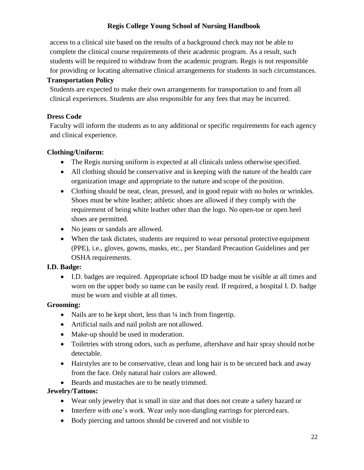access to a clinical site based on the results of a background check may not be able to complete the clinical course requirements of their academic program. As a result, such students will be required to withdraw from the academic program. Regis is not responsible for providing or locating alternative clinical arrangements for students in such circumstances.

# <span id="page-21-0"></span>**Transportation Policy**

Students are expected to make their own arrangements for transportation to and from all clinical experiences. Students are also responsible for any fees that may be incurred.

# <span id="page-21-1"></span>**Dress Code**

Faculty will inform the students as to any additional or specific requirements for each agency and clinical experience.

# <span id="page-21-2"></span>**Clothing/Uniform:**

- The Regis nursing uniform is expected at all clinicals unless otherwise specified.
- All clothing should be conservative and in keeping with the nature of the health care organization image and appropriate to the nature and scope of the position.
- Clothing should be neat, clean, pressed, and in good repair with no holes or wrinkles. Shoes must be white leather; athletic shoes are allowed if they comply with the requirement of being white leather other than the logo. No open-toe or open heel shoes are permitted.
- No jeans or sandals are allowed.
- When the task dictates, students are required to wear personal protective equipment (PPE), i.e., gloves, gowns, masks, etc., per Standard Precaution Guidelines and per OSHA requirements.

# <span id="page-21-3"></span>**I.D. Badge:**

 I.D. badges are required. Appropriate school ID badge must be visible at all times and worn on the upper body so name can be easily read. If required, a hospital I. D. badge must be worn and visible at all times.

# <span id="page-21-4"></span>**Grooming:**

- Nails are to be kept short, less than  $\frac{1}{4}$  inch from fingertip.
- Artificial nails and nail polish are not allowed.
- Make-up should be used in moderation.
- Toiletries with strong odors, such as perfume, aftershave and hair spray should not be detectable.
- Hairstyles are to be conservative, clean and long hair is to be secured back and away from the face. Only natural hair colors are allowed.
- Beards and mustaches are to be neatly trimmed.

#### <span id="page-21-5"></span>**Jewelry/Tattoos:**

- Wear only jewelry that is small in size and that does not create a safety hazard or
- Interfere with one's work. Wear only non-dangling earrings for pierced ears.
- Body piercing and tattoos should be covered and not visible to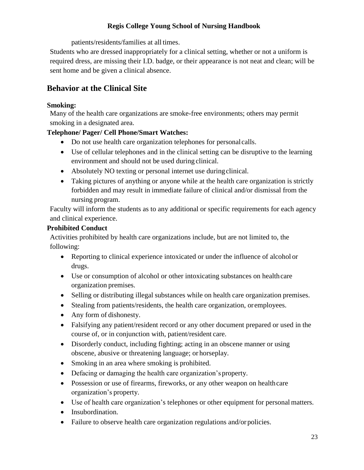patients/residents/families at all times.

Students who are dressed inappropriately for a clinical setting, whether or not a uniform is required dress, are missing their I.D. badge, or their appearance is not neat and clean; will be sent home and be given a clinical absence.

# <span id="page-22-0"></span>**Behavior at the Clinical Site**

# <span id="page-22-1"></span>**Smoking:**

Many of the health care organizations are smoke-free environments; others may permit smoking in a designated area.

# <span id="page-22-2"></span>**Telephone/ Pager/ Cell Phone/Smart Watches:**

- Do not use health care organization telephones for personal calls.
- Use of cellular telephones and in the clinical setting can be disruptive to the learning environment and should not be used during clinical.
- Absolutely NO texting or personal internet use duringclinical.
- Taking pictures of anything or anyone while at the health care organization is strictly forbidden and may result in immediate failure of clinical and/or dismissal from the nursing program.

Faculty will inform the students as to any additional or specific requirements for each agency and clinical experience.

# <span id="page-22-3"></span>**Prohibited Conduct**

Activities prohibited by health care organizations include, but are not limited to, the following:

- Reporting to clinical experience intoxicated or under the influence of alcohol or drugs.
- Use or consumption of alcohol or other intoxicating substances on healthcare organization premises.
- Selling or distributing illegal substances while on health care organization premises.
- Stealing from patients/residents, the health care organization, oremployees.
- Any form of dishonesty.
- Falsifying any patient/resident record or any other document prepared or used in the course of, or in conjunction with, patient/resident care.
- Disorderly conduct, including fighting; acting in an obscene manner or using obscene, abusive or threatening language; or horseplay.
- Smoking in an area where smoking is prohibited.
- Defacing or damaging the health care organization's property.
- Possession or use of firearms, fireworks, or any other weapon on healthcare organization's property.
- Use of health care organization's telephones or other equipment for personal matters.
- Insubordination.
- Failure to observe health care organization regulations and/or policies.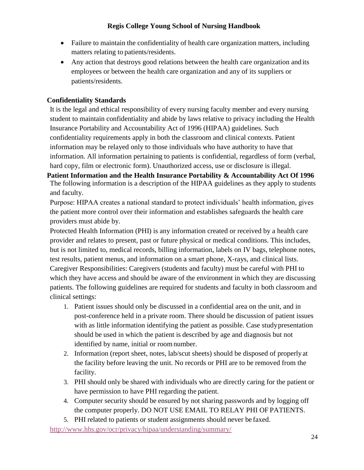- Failure to maintain the confidentiality of health care organization matters, including matters relating to patients/residents.
- Any action that destroys good relations between the health care organization and its employees or between the health care organization and any of its suppliers or patients/residents.

# <span id="page-23-0"></span>**Confidentiality Standards**

It is the legal and ethical responsibility of every nursing faculty member and every nursing student to maintain confidentiality and abide by laws relative to privacy including the Health Insurance Portability and Accountability Act of 1996 (HIPAA) guidelines. Such confidentiality requirements apply in both the classroom and clinical contexts. Patient information may be relayed only to those individuals who have authority to have that information. All information pertaining to patients is confidential, regardless of form (verbal, hard copy, film or electronic form). Unauthorized access, use or disclosure is illegal.

<span id="page-23-1"></span>**Patient Information and the Health Insurance Portability & Accountability Act Of 1996** The following information is a description of the HIPAA guidelines as they apply to students and faculty.

Purpose: HIPAA creates a national standard to protect individuals' health information, gives the patient more control over their information and establishes safeguards the health care providers must abide by.

Protected Health Information (PHI) is any information created or received by a health care provider and relates to present, past or future physical or medical conditions. This includes, but is not limited to, medical records, billing information, labels on IV bags, telephone notes, test results, patient menus, and information on a smart phone, X-rays, and clinical lists. Caregiver Responsibilities: Caregivers (students and faculty) must be careful with PHI to which they have access and should be aware of the environment in which they are discussing patients. The following guidelines are required for students and faculty in both classroom and clinical settings:

- 1. Patient issues should only be discussed in a confidential area on the unit, and in post-conference held in a private room. There should be discussion of patient issues with as little information identifying the patient as possible. Case study presentation should be used in which the patient is described by age and diagnosis but not identified by name, initial or roomnumber.
- 2. Information (report sheet, notes, lab/scut sheets) should be disposed of properlyat the facility before leaving the unit. No records or PHI are to be removed from the facility.
- 3. PHI should only be shared with individuals who are directly caring for the patient or have permission to have PHI regarding the patient.
- 4. Computer security should be ensured by not sharing passwords and by logging off the computer properly. DO NOT USE EMAIL TO RELAY PHI OF PATIENTS.
- 5. PHI related to patients or student assignments should never be faxed.

<http://www.hhs.gov/ocr/privacy/hipaa/understanding/summary/>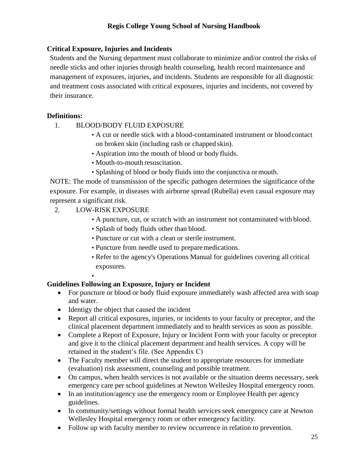# <span id="page-24-0"></span>**Critical Exposure, Injuries and Incidents**

Students and the Nursing department must collaborate to minimize and/or control the risks of needle sticks and other injuries through health counseling, health record maintenance and management of exposures, injuries, and incidents. Students are responsible for all diagnostic and treatment costs associated with critical exposures, injuries and incidents, not covered by their insurance.

#### <span id="page-24-1"></span>**Definitions:**

- 1. BLOOD/BODY FLUID EXPOSURE
	- A cut or needle stick with a blood-contaminated instrument or blood contact on broken skin (including rash or chapped skin).
	- Aspiration into the mouth of blood or body fluids.
	- Mouth-to-mouth resuscitation.
	- Splashing of blood or body fluids into the conjunctiva ormouth.

NOTE: The mode of transmission of the specific pathogen determines the significance ofthe exposure. For example, in diseases with airborne spread (Rubella) even casual exposure may represent a significant risk.

- 2. LOW-RISK EXPOSURE
	- A puncture, cut, or scratch with an instrument not contaminated with blood.
	- Splash of body fluids other than blood.
	- Puncture or cut with a clean or sterile instrument.
	- Puncture from needle used to prepare medications.
	- Refer to the agency's Operations Manual for guidelines covering all critical exposures.
	- •

# <span id="page-24-2"></span>**Guidelines Following an Exposure, Injury or Incident**

- For puncture or blood or body fluid exposure immediately wash affected area with soap and water.
- Identigy the object that caused the incident
- Report all critical exposures, injuries, or incidents to your faculty or preceptor, and the clinical placement department immediately and to health services as soon as possible.
- Complete a Report of Exposure, Injury or Incident Form with your faculty or preceptor and give it to the clinical placement department and health services. A copy will be retained in the student's file. (See Appendix C)
- The Faculty member will direct the student to appropriate resources for immediate (evaluation) risk assessment, counseling and possible treatment.
- On campus, when health services is not available or the situation deems necessary, seek emergency care per school guidelines at Newton Wellesley Hospital emergency room.
- In an institution/agency use the emergency room or Employee Health per agency guidelines.
- In community/settings without formal health services seek emergency care at Newton Wellesley Hospital emergency room or other emergency facitlity.
- Follow up with faculty member to review occurrence in relation to prevention.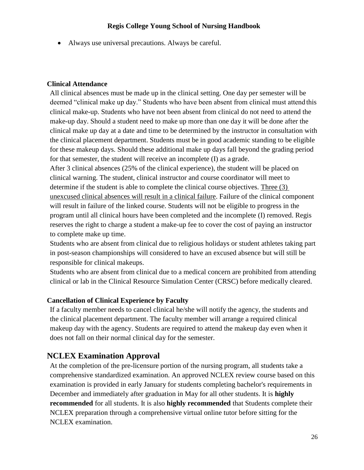Always use universal precautions. Always be careful.

#### <span id="page-25-0"></span>**Clinical Attendance**

All clinical absences must be made up in the clinical setting. One day per semester will be deemed "clinical make up day." Students who have been absent from clinical must attend this clinical make-up. Students who have not been absent from clinical do not need to attend the make-up day. Should a student need to make up more than one day it will be done after the clinical make up day at a date and time to be determined by the instructor in consultation with the clinical placement department. Students must be in good academic standing to be eligible for these makeup days. Should these additional make up days fall beyond the grading period for that semester, the student will receive an incomplete (I) as a grade.

After 3 clinical absences (25% of the clinical experience), the student will be placed on clinical warning. The student, clinical instructor and course coordinator will meet to determine if the student is able to complete the clinical course objectives. Three (3) unexcused clinical absences will result in a clinical failure. Failure of the clinical component will result in failure of the linked course. Students will not be eligible to progress in the program until all clinical hours have been completed and the incomplete (I) removed. Regis reserves the right to charge a student a make-up fee to cover the cost of paying an instructor to complete make up time.

Students who are absent from clinical due to religious holidays or student athletes taking part in post-season championships will considered to have an excused absence but will still be responsible for clinical makeups.

Students who are absent from clinical due to a medical concern are prohibited from attending clinical or lab in the Clinical Resource Simulation Center (CRSC) before medically cleared.

# <span id="page-25-1"></span>**Cancellation of Clinical Experience by Faculty**

If a faculty member needs to cancel clinical he/she will notify the agency, the students and the clinical placement department. The faculty member will arrange a required clinical makeup day with the agency. Students are required to attend the makeup day even when it does not fall on their normal clinical day for the semester.

# <span id="page-25-2"></span>**NCLEX Examination Approval**

At the completion of the pre-licensure portion of the nursing program, all students take a comprehensive standardized examination. An approved NCLEX review course based on this examination is provided in early January for students completing bachelor's requirements in December and immediately after graduation in May for all other students. It is **highly recommended** for all students. It is also **highly recommended** that Students complete their NCLEX preparation through a comprehensive virtual online tutor before sitting for the NCLEX examination.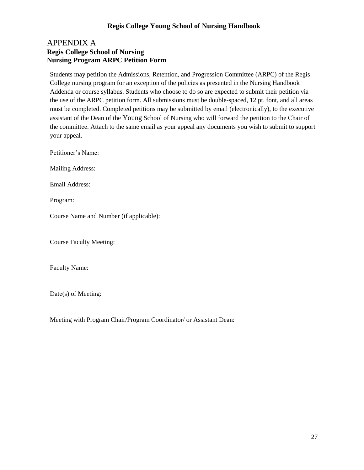# <span id="page-26-0"></span>APPENDIX A **Regis College School of Nursing Nursing Program ARPC Petition Form**

<span id="page-26-1"></span>Students may petition the Admissions, Retention, and Progression Committee (ARPC) of the Regis College nursing program for an exception of the policies as presented in the Nursing Handbook Addenda or course syllabus. Students who choose to do so are expected to submit their petition via the use of the ARPC petition form. All submissions must be double-spaced, 12 pt. font, and all areas must be completed. Completed petitions may be submitted by email (electronically), to the executive assistant of the Dean of the Young School of Nursing who will forward the petition to the Chair of the committee. Attach to the same email as your appeal any documents you wish to submit to support your appeal.

Petitioner's Name:

Mailing Address:

Email Address:

Program:

Course Name and Number (if applicable):

Course Faculty Meeting:

Faculty Name:

Date(s) of Meeting:

Meeting with Program Chair/Program Coordinator/ or Assistant Dean: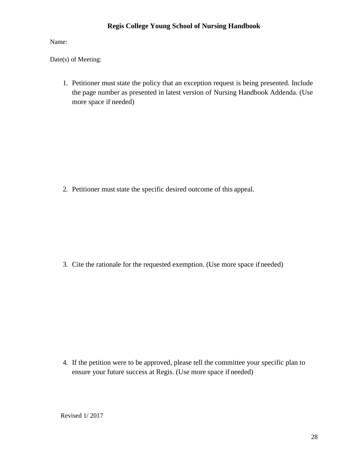Name:

Date(s) of Meeting:

1. Petitioner must state the policy that an exception request is being presented. Include the page number as presented in latest version of Nursing Handbook Addenda. (Use more space if needed)

2. Petitioner must state the specific desired outcome of this appeal.

3. Cite the rationale for the requested exemption. (Use more space ifneeded)

4. If the petition were to be approved, please tell the committee your specific plan to ensure your future success at Regis. (Use more space if needed)

Revised 1/ 2017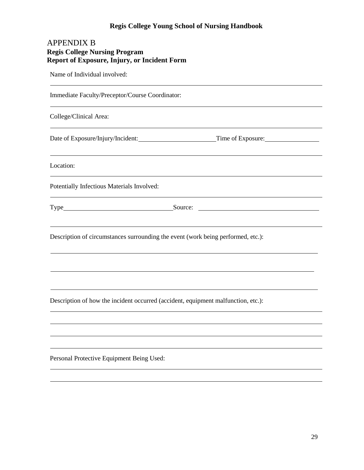# <span id="page-28-0"></span>APPENDIX B **Regis College Nursing Program Report of Exposure, Injury, or Incident Form**

<span id="page-28-1"></span>Name of Individual involved:

Immediate Faculty/Preceptor/Course Coordinator:

College/Clinical Area:

Date of Exposure/Injury/Incident: Time of Exposure:

Location:

Potentially Infectious Materials Involved:

Type Source: Source: Source: Source: Source: Source: Source: Source: Source: Source: Source: Source: Source: Source: Source: Source: Source: Source: Source: Source: Source: Source: Source: Source: Source: Source: Source: S

Description of circumstances surrounding the event (work being performed, etc.):

Description of how the incident occurred (accident, equipment malfunction, etc.):

Personal Protective Equipment Being Used: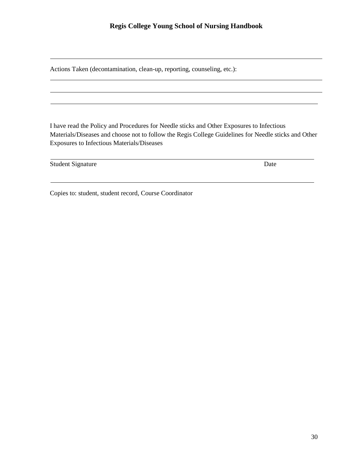Actions Taken (decontamination, clean-up, reporting, counseling, etc.):

I have read the Policy and Procedures for Needle sticks and Other Exposures to Infectious Materials/Diseases and choose not to follow the Regis College Guidelines for Needle sticks and Other Exposures to Infectious Materials/Diseases

Student Signature Date

Copies to: student, student record, Course Coordinator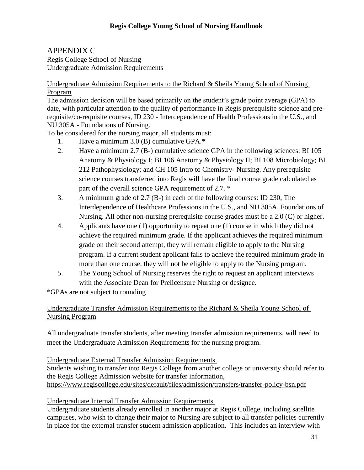<span id="page-30-1"></span><span id="page-30-0"></span>APPENDIX C Regis College School of Nursing Undergraduate Admission Requirements

Undergraduate Admission Requirements to the Richard & Sheila Young School of Nursing Program

The admission decision will be based primarily on the student's grade point average (GPA) to date, with particular attention to the quality of performance in Regis prerequisite science and prerequisite/co-requisite courses, ID 230 - Interdependence of Health Professions in the U.S., and NU 305A - Foundations of Nursing.

To be considered for the nursing major, all students must:

- 1. Have a minimum 3.0 (B) cumulative GPA.\*
- 2. Have a minimum 2.7 (B-) cumulative science GPA in the following sciences: BI 105 Anatomy & Physiology I; BI 106 Anatomy & Physiology II; BI 108 Microbiology; BI 212 Pathophysiology; and CH 105 Intro to Chemistry- Nursing. Any prerequisite science courses transferred into Regis will have the final course grade calculated as part of the overall science GPA requirement of 2.7. \*
- 3. A minimum grade of 2.7 (B-) in each of the following courses: ID 230, The Interdependence of Healthcare Professions in the U.S., and NU 305A, Foundations of Nursing. All other non-nursing prerequisite course grades must be a 2.0 (C) or higher.
- 4. Applicants have one (1) opportunity to repeat one (1) course in which they did not achieve the required minimum grade. If the applicant achieves the required minimum grade on their second attempt, they will remain eligible to apply to the Nursing program. If a current student applicant fails to achieve the required minimum grade in more than one course, they will not be eligible to apply to the Nursing program.
- 5. The Young School of Nursing reserves the right to request an applicant interviews with the Associate Dean for Prelicensure Nursing or designee.

\*GPAs are not subject to rounding

# Undergraduate Transfer Admission Requirements to the Richard & Sheila Young School of Nursing Program

All undergraduate transfer students, after meeting transfer admission requirements, will need to meet the Undergraduate Admission Requirements for the nursing program.

Undergraduate External Transfer Admission Requirements

Students wishing to transfer into Regis College from another college or university should refer to the Regis College Admission website for transfer information, <https://www.regiscollege.edu/sites/default/files/admission/transfers/transfer-policy-bsn.pdf>

Undergraduate Internal Transfer Admission Requirements

Undergraduate students already enrolled in another major at Regis College, including satellite campuses, who wish to change their major to Nursing are subject to all transfer policies currently in place for the external transfer student admission application. This includes an interview with